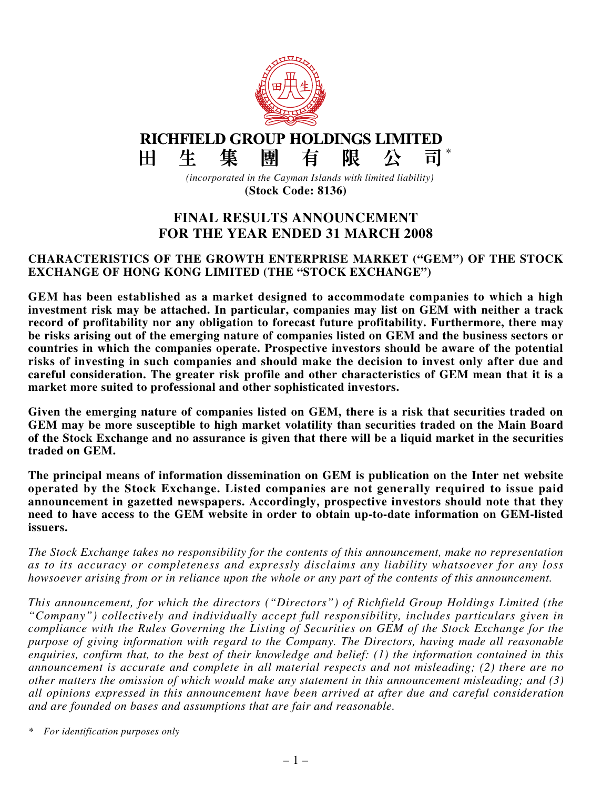

# **FINAL RESULTS ANNOUNCEMENT FOR THE YEAR ENDED 31 MARCH 2008**

#### **CHARACTERISTICS OF THE GROWTH ENTERPRISE MARKET ("GEM") OF THE STOCK EXCHANGE OF HONG KONG LIMITED (THE "STOCK EXCHANGE")**

**GEM has been established as a market designed to accommodate companies to which a high investment risk may be attached. In particular, companies may list on GEM with neither a track record of profitability nor any obligation to forecast future profitability. Furthermore, there may be risks arising out of the emerging nature of companies listed on GEM and the business sectors or countries in which the companies operate. Prospective investors should be aware of the potential risks of investing in such companies and should make the decision to invest only after due and careful consideration. The greater risk profile and other characteristics of GEM mean that it is a market more suited to professional and other sophisticated investors.**

**Given the emerging nature of companies listed on GEM, there is a risk that securities traded on GEM may be more susceptible to high market volatility than securities traded on the Main Board of the Stock Exchange and no assurance is given that there will be a liquid market in the securities traded on GEM.**

**The principal means of information dissemination on GEM is publication on the Inter net website operated by the Stock Exchange. Listed companies are not generally required to issue paid announcement in gazetted newspapers. Accordingly, prospective investors should note that they need to have access to the GEM website in order to obtain up-to-date information on GEM-listed issuers.**

*The Stock Exchange takes no responsibility for the contents of this announcement, make no representation as to its accuracy or completeness and expressly disclaims any liability whatsoever for any loss* howsoever arising from or in reliance upon the whole or any part of the contents of this announcement.

*This announcement, for which the directors ("Directors") of Richfield Group Holdings Limited (the "Company") collectively and individually accept full responsibility, includes particulars given in compliance with the Rules Governing the Listing of Securities on GEM of the Stock Exchange for the purpose of giving information with regard to the Company. The Directors, having made all reasonable enquiries, confirm that, to the best of their knowledge and belief: (1) the information contained in this announcement is accurate and complete in all material respects and not misleading; (2) there are no other matters the omission of which would make any statement in this announcement misleading; and (3) all opinions expressed in this announcement have been arrived at after due and careful consideration and are founded on bases and assumptions that are fair and reasonable.*

*\* For identification purposes only*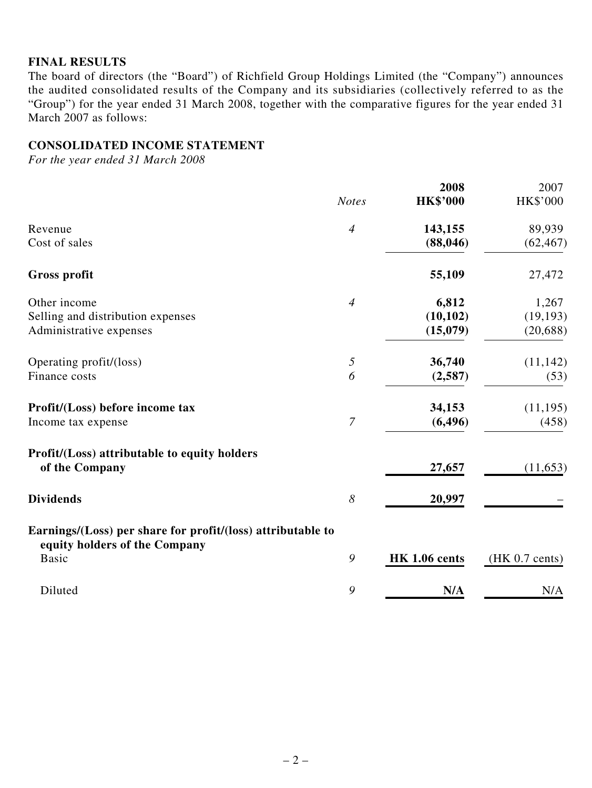### **Final Results**

The board of directors (the "Board") of Richfield Group Holdings Limited (the "Company") announces the audited consolidated results of the Company and its subsidiaries (collectively referred to as the "Group") for the year ended 31 March 2008, together with the comparative figures for the year ended 31 March 2007 as follows:

## **Consolidated Income Statement**

*For the year ended 31 March 2008*

|                                                                                              |                | 2008                 | 2007                     |
|----------------------------------------------------------------------------------------------|----------------|----------------------|--------------------------|
|                                                                                              | <b>Notes</b>   | <b>HK\$'000</b>      | HK\$'000                 |
| Revenue                                                                                      | $\overline{4}$ | 143,155              | 89,939                   |
| Cost of sales                                                                                |                | (88, 046)            | (62, 467)                |
| <b>Gross profit</b>                                                                          |                | 55,109               | 27,472                   |
| Other income                                                                                 | $\overline{4}$ | 6,812                | 1,267                    |
| Selling and distribution expenses                                                            |                | (10, 102)            | (19, 193)                |
| Administrative expenses                                                                      |                | (15,079)             | (20, 688)                |
| Operating profit/(loss)                                                                      | 5              | 36,740               | (11, 142)                |
| Finance costs                                                                                | 6              | (2,587)              | (53)                     |
| Profit/(Loss) before income tax                                                              |                | 34,153               | (11, 195)                |
| Income tax expense                                                                           | $\overline{7}$ | (6, 496)             | (458)                    |
| Profit/(Loss) attributable to equity holders<br>of the Company                               |                | 27,657               | (11, 653)                |
| <b>Dividends</b>                                                                             | 8              | 20,997               |                          |
|                                                                                              |                |                      |                          |
| Earnings/(Loss) per share for profit/(loss) attributable to<br>equity holders of the Company |                |                      |                          |
| <b>Basic</b>                                                                                 | 9              | <b>HK 1.06 cents</b> | $(HK 0.7 \text{ cents})$ |
| Diluted                                                                                      | 9              | N/A                  | N/A                      |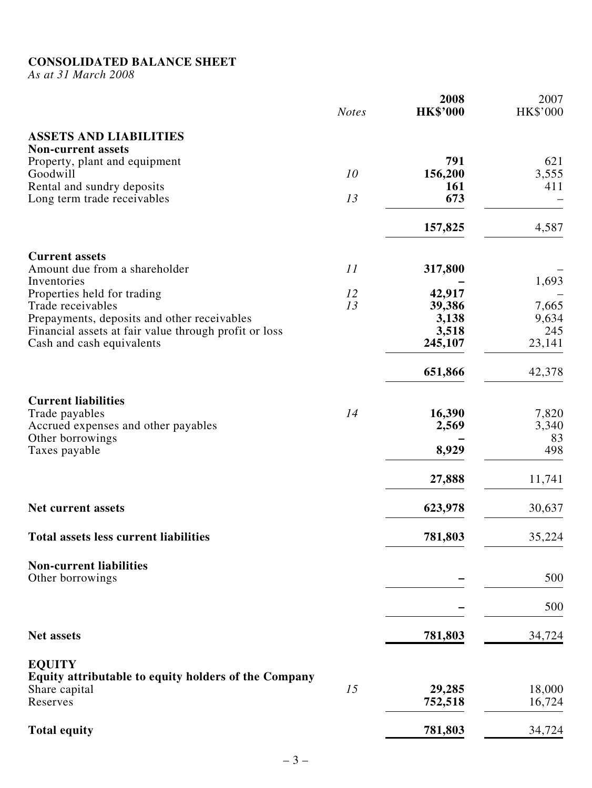#### **CONSOLIDATED BALANCE SH**

*As at 31 March 2008*

|                                                            | <b>Notes</b> | 2008<br><b>HK\$'000</b> | 2007<br>HK\$'000 |
|------------------------------------------------------------|--------------|-------------------------|------------------|
| <b>ASSETS AND LIABILITIES</b><br><b>Non-current assets</b> |              |                         |                  |
| Property, plant and equipment                              |              | 791                     | 621              |
| Goodwill                                                   | 10           | 156,200                 | 3,555            |
|                                                            |              | <b>161</b>              | 411              |
| Rental and sundry deposits                                 | 13           | 673                     |                  |
| Long term trade receivables                                |              |                         |                  |
|                                                            |              | 157,825                 | 4,587            |
| <b>Current assets</b>                                      |              |                         |                  |
| Amount due from a shareholder                              | 11           | 317,800                 |                  |
| Inventories                                                |              |                         | 1,693            |
| Properties held for trading                                | 12           | 42,917                  |                  |
| Trade receivables                                          | 13           | 39,386                  | 7,665            |
| Prepayments, deposits and other receivables                |              | 3,138                   | 9,634            |
| Financial assets at fair value through profit or loss      |              | 3,518                   | 245              |
| Cash and cash equivalents                                  |              | 245,107                 | 23,141           |
|                                                            |              | 651,866                 | 42,378           |
| <b>Current liabilities</b>                                 |              |                         |                  |
| Trade payables                                             | 14           | 16,390                  | 7,820            |
| Accrued expenses and other payables                        |              | 2,569                   | 3,340            |
| Other borrowings                                           |              |                         | 83               |
| Taxes payable                                              |              | 8,929                   | 498              |
|                                                            |              | 27,888                  | 11,741           |
| <b>Net current assets</b>                                  |              | 623,978                 | 30,637           |
| <b>Total assets less current liabilities</b>               |              | 781,803                 | 35,224           |
| <b>Non-current liabilities</b>                             |              |                         |                  |
| Other borrowings                                           |              |                         | 500              |
|                                                            |              |                         | 500              |
| <b>Net assets</b>                                          |              | 781,803                 | 34,724           |
| <b>EQUITY</b>                                              |              |                         |                  |
| Equity attributable to equity holders of the Company       |              |                         |                  |
| Share capital                                              | 15           | 29,285                  | 18,000           |
| Reserves                                                   |              | 752,518                 | 16,724           |
| <b>Total equity</b>                                        |              | 781,803                 | 34,724           |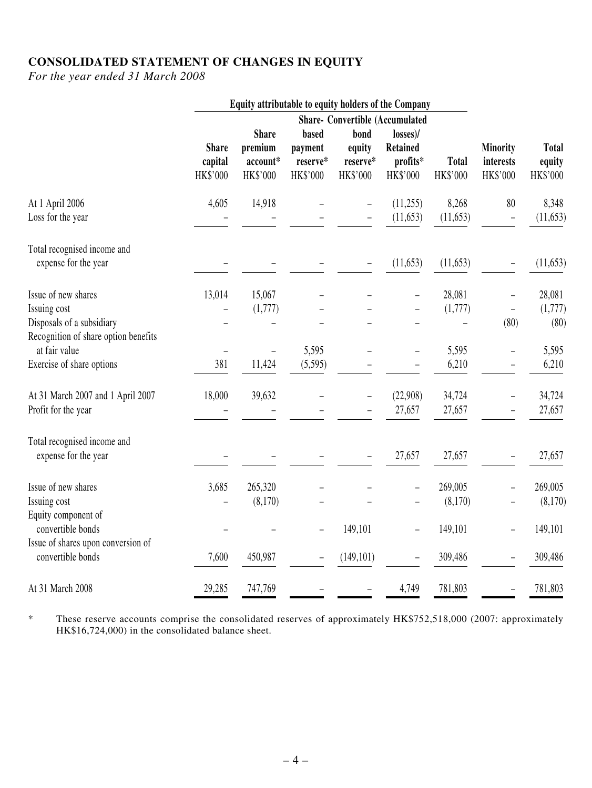## **Consolidated Statement of Changes in Equity**

*For the year ended 31 March 2008*

|                                      | Equity attributable to equity holders of the Company |                                        |          |                   |                 |              |                          |              |
|--------------------------------------|------------------------------------------------------|----------------------------------------|----------|-------------------|-----------------|--------------|--------------------------|--------------|
|                                      |                                                      | <b>Share- Convertible (Accumulated</b> |          |                   |                 |              |                          |              |
|                                      |                                                      | <b>Share</b>                           | based    | bond              | $losses$ )/     |              |                          |              |
|                                      | <b>Share</b>                                         | premium                                | payment  | equity            | <b>Retained</b> |              | Minority                 | <b>Total</b> |
|                                      | capital                                              | account*                               | reserve* | reserve*          | profits*        | <b>Total</b> | interests                | equity       |
|                                      | HK\$'000                                             | HK\$'000                               | HK\$'000 | HK\$'000          | HK\$'000        | HK\$'000     | HK\$'000                 | HK\$'000     |
| At 1 April 2006                      | 4,605                                                | 14,918                                 |          |                   | (11,255)        | 8,268        | 80                       | 8,348        |
| Loss for the year                    |                                                      |                                        |          |                   | (11, 653)       | (11, 653)    | $\overline{\phantom{0}}$ | (11, 653)    |
| Total recognised income and          |                                                      |                                        |          |                   |                 |              |                          |              |
| expense for the year                 |                                                      |                                        |          |                   | (11, 653)       | (11, 653)    | -                        | (11, 653)    |
| Issue of new shares                  | 13,014                                               | 15,067                                 |          |                   |                 | 28,081       |                          | 28,081       |
| Issuing cost                         |                                                      | (1,777)                                |          |                   |                 | (1,777)      | $\qquad \qquad -$        | (1,777)      |
| Disposals of a subsidiary            |                                                      |                                        |          |                   |                 |              | (80)                     | (80)         |
| Recognition of share option benefits |                                                      |                                        |          |                   |                 |              |                          |              |
| at fair value                        |                                                      | $\overline{\phantom{0}}$               | 5,595    |                   |                 | 5,595        | -                        | 5,595        |
| Exercise of share options            | 381                                                  | 11,424                                 | (5,595)  |                   |                 | 6,210        | -                        | 6,210        |
| At 31 March 2007 and 1 April 2007    | 18,000                                               | 39,632                                 |          | $\qquad \qquad -$ | (22,908)        | 34,724       | -                        | 34,724       |
| Profit for the year                  |                                                      |                                        |          |                   | 27,657          | 27,657       | $\overline{\phantom{0}}$ | 27,657       |
| Total recognised income and          |                                                      |                                        |          |                   |                 |              |                          |              |
| expense for the year                 |                                                      |                                        |          |                   | 27,657          | 27,657       |                          | 27,657       |
| Issue of new shares                  | 3,685                                                | 265,320                                |          |                   |                 | 269,005      |                          | 269,005      |
| Issuing cost                         |                                                      | (8,170)                                |          |                   |                 | (8,170)      |                          | (8,170)      |
| Equity component of                  |                                                      |                                        |          |                   |                 |              |                          |              |
| convertible bonds                    |                                                      |                                        |          | 149,101           |                 | 149,101      | $\overline{\phantom{0}}$ | 149,101      |
| Issue of shares upon conversion of   |                                                      |                                        |          |                   |                 |              |                          |              |
| convertible bonds                    | 7,600                                                | 450,987                                |          | (149, 101)        |                 | 309,486      |                          | 309,486      |
| At 31 March 2008                     | 29,285                                               | 747,769                                |          |                   | 4,749           | 781,803      |                          | 781,803      |

\* These reserve accounts comprise the consolidated reserves of approximately HK\$752,518,000 (2007: approximately HK\$16,724,000) in the consolidated balance sheet.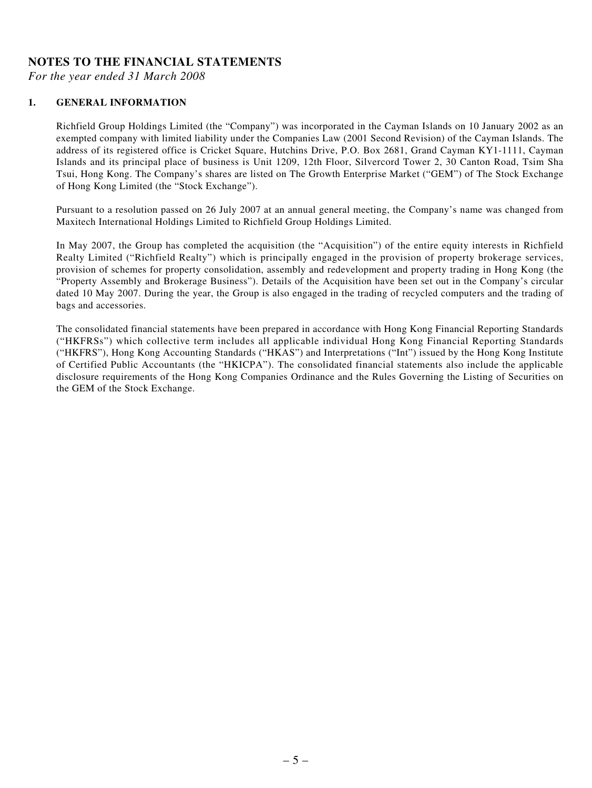#### **Notes to the financial statements**

*For the year ended 31 March 2008*

#### **1. GENERAL INFORMATION**

Richfield Group Holdings Limited (the "Company") was incorporated in the Cayman Islands on 10 January 2002 as an exempted company with limited liability under the Companies Law (2001 Second Revision) of the Cayman Islands. The address of its registered office is Cricket Square, Hutchins Drive, P.O. Box 2681, Grand Cayman KY1-1111, Cayman Islands and its principal place of business is Unit 1209, 12th Floor, Silvercord Tower 2, 30 Canton Road, Tsim Sha Tsui, Hong Kong. The Company's shares are listed on The Growth Enterprise Market ("GEM") of The Stock Exchange of Hong Kong Limited (the "Stock Exchange").

Pursuant to a resolution passed on 26 July 2007 at an annual general meeting, the Company's name was changed from Maxitech International Holdings Limited to Richfield Group Holdings Limited.

In May 2007, the Group has completed the acquisition (the "Acquisition") of the entire equity interests in Richfield Realty Limited ("Richfield Realty") which is principally engaged in the provision of property brokerage services, provision of schemes for property consolidation, assembly and redevelopment and property trading in Hong Kong (the "Property Assembly and Brokerage Business"). Details of the Acquisition have been set out in the Company's circular dated 10 May 2007. During the year, the Group is also engaged in the trading of recycled computers and the trading of bags and accessories.

The consolidated financial statements have been prepared in accordance with Hong Kong Financial Reporting Standards ("HKFRSs") which collective term includes all applicable individual Hong Kong Financial Reporting Standards ("HKFRS"), Hong Kong Accounting Standards ("HKAS") and Interpretations ("Int") issued by the Hong Kong Institute of Certified Public Accountants (the "HKICPA"). The consolidated financial statements also include the applicable disclosure requirements of the Hong Kong Companies Ordinance and the Rules Governing the Listing of Securities on the GEM of the Stock Exchange.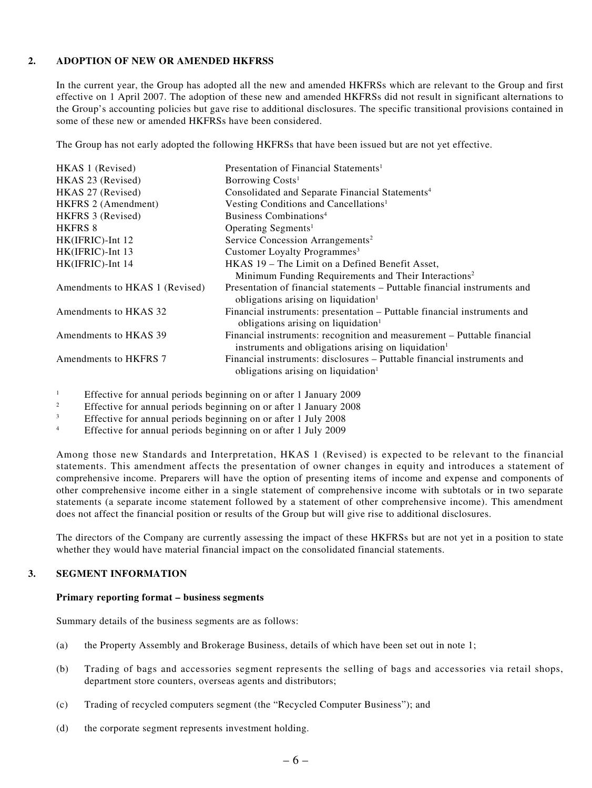#### **2. Adoption of new or amended hkfrss**

In the current year, the Group has adopted all the new and amended HKFRSs which are relevant to the Group and first effective on 1 April 2007. The adoption of these new and amended HKFRSs did not result in significant alternations to the Group's accounting policies but gave rise to additional disclosures. The specific transitional provisions contained in some of these new or amended HKFRSs have been considered.

The Group has not early adopted the following HKFRSs that have been issued but are not yet effective.

| HKAS 1 (Revised)               | Presentation of Financial Statements <sup>1</sup>                                                                                          |
|--------------------------------|--------------------------------------------------------------------------------------------------------------------------------------------|
| HKAS 23 (Revised)              | Borrowing Costs <sup>1</sup>                                                                                                               |
| HKAS 27 (Revised)              | Consolidated and Separate Financial Statements <sup>4</sup>                                                                                |
| HKFRS 2 (Amendment)            | Vesting Conditions and Cancellations <sup>1</sup>                                                                                          |
| HKFRS 3 (Revised)              | Business Combinations <sup>4</sup>                                                                                                         |
| <b>HKFRS 8</b>                 | Operating Segments <sup>1</sup>                                                                                                            |
| $HK(IFRIC)$ -Int 12            | Service Concession Arrangements <sup>2</sup>                                                                                               |
| $HK(IFRIC)$ -Int 13            | Customer Loyalty Programmes <sup>3</sup>                                                                                                   |
| HK(IFRIC)-Int 14               | HKAS 19 – The Limit on a Defined Benefit Asset,                                                                                            |
|                                | Minimum Funding Requirements and Their Interactions <sup>2</sup>                                                                           |
| Amendments to HKAS 1 (Revised) | Presentation of financial statements – Puttable financial instruments and<br>obligations arising on liquidation $\mathbf{h}$               |
| Amendments to HKAS 32          | Financial instruments: presentation – Puttable financial instruments and<br>obligations arising on liquidation <sup>1</sup>                |
| Amendments to HKAS 39          | Financial instruments: recognition and measurement – Puttable financial<br>instruments and obligations arising on liquidation <sup>1</sup> |
| Amendments to HKFRS 7          | Financial instruments: disclosures – Puttable financial instruments and<br>obligations arising on liquidation <sup>1</sup>                 |
|                                |                                                                                                                                            |

<sup>1</sup> Effective for annual periods beginning on or after 1 January 2009

- <sup>2</sup> Effective for annual periods beginning on or after 1 January 2008
- $\frac{3}{4}$  Effective for annual periods beginning on or after 1 July 2008
- <sup>4</sup> Effective for annual periods beginning on or after 1 July 2009

Among those new Standards and Interpretation, HKAS 1 (Revised) is expected to be relevant to the financial statements. This amendment affects the presentation of owner changes in equity and introduces a statement of comprehensive income. Preparers will have the option of presenting items of income and expense and components of other comprehensive income either in a single statement of comprehensive income with subtotals or in two separate statements (a separate income statement followed by a statement of other comprehensive income). This amendment does not affect the financial position or results of the Group but will give rise to additional disclosures.

The directors of the Company are currently assessing the impact of these HKFRSs but are not yet in a position to state whether they would have material financial impact on the consolidated financial statements.

#### **3. SEGMENT INFORMATION**

#### **Primary reporting format – business segments**

Summary details of the business segments are as follows:

- (a) the Property Assembly and Brokerage Business, details of which have been set out in note 1;
- (b) Trading of bags and accessories segment represents the selling of bags and accessories via retail shops, department store counters, overseas agents and distributors;
- (c) Trading of recycled computers segment (the "Recycled Computer Business"); and
- (d) the corporate segment represents investment holding.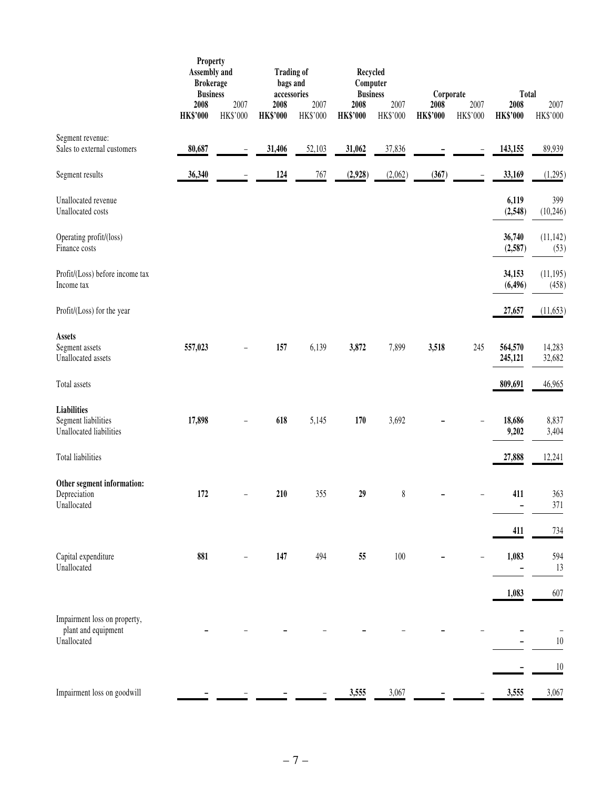|                                                                      | <b>Property</b><br><b>Assembly and</b><br><b>Brokerage</b><br><b>Business</b> |                          | <b>Trading of</b><br>bags and<br>accessories |                  | Recycled<br>Computer<br><b>Business</b> |                  | Corporate               |                          | <b>Total</b>            |                    |
|----------------------------------------------------------------------|-------------------------------------------------------------------------------|--------------------------|----------------------------------------------|------------------|-----------------------------------------|------------------|-------------------------|--------------------------|-------------------------|--------------------|
|                                                                      | 2008<br><b>HK\$'000</b>                                                       | 2007<br>HK\$'000         | 2008<br><b>HK\$'000</b>                      | 2007<br>HK\$'000 | 2008<br><b>HK\$'000</b>                 | 2007<br>HK\$'000 | 2008<br><b>HK\$'000</b> | 2007<br>HK\$'000         | 2008<br><b>HK\$'000</b> | 2007<br>HK\$'000   |
| Segment revenue:<br>Sales to external customers                      | 80,687                                                                        | $\qquad \qquad -$        | 31,406                                       | 52,103           | 31,062                                  | 37,836           |                         | $\qquad \qquad -$        | 143,155                 | 89,939             |
| Segment results                                                      | 36,340                                                                        |                          | 124                                          | 767              | (2,928)                                 | (2,062)          | (367)                   | $\overline{\phantom{0}}$ | 33,169                  | (1,295)            |
| Unallocated revenue<br>Unallocated costs                             |                                                                               |                          |                                              |                  |                                         |                  |                         |                          | 6,119<br>(2,548)        | 399<br>(10,246)    |
| Operating profit/(loss)<br>Finance costs                             |                                                                               |                          |                                              |                  |                                         |                  |                         |                          | 36,740<br>(2,587)       | (11, 142)<br>(53)  |
| Profit/(Loss) before income tax<br>Income tax                        |                                                                               |                          |                                              |                  |                                         |                  |                         |                          | 34,153<br>(6, 496)      | (11, 195)<br>(458) |
| Profit/(Loss) for the year                                           |                                                                               |                          |                                              |                  |                                         |                  |                         |                          | 27,657                  | (11, 653)          |
| <b>Assets</b><br>Segment assets<br>Unallocated assets                | 557,023                                                                       | $\overline{\phantom{0}}$ | 157                                          | 6,139            | 3,872                                   | 7,899            | 3,518                   | 245                      | 564,570<br>245,121      | 14,283<br>32,682   |
| Total assets                                                         |                                                                               |                          |                                              |                  |                                         |                  |                         |                          | 809,691                 | 46,965             |
| <b>Liabilities</b><br>Segment liabilities<br>Unallocated liabilities | 17,898                                                                        |                          | 618                                          | 5,145            | 170                                     | 3,692            |                         |                          | 18,686<br>9,202         | 8,837<br>3,404     |
| Total liabilities                                                    |                                                                               |                          |                                              |                  |                                         |                  |                         |                          | 27,888                  | 12,241             |
| Other segment information:<br>Depreciation<br>Unallocated            | 172                                                                           | ÷                        | 210                                          | 355              | 29                                      | $\,$ $\,$        |                         |                          | 411                     | 363<br>371         |
|                                                                      |                                                                               |                          |                                              |                  |                                         |                  |                         |                          | 411                     | 734                |
| Capital expenditure<br>Unallocated                                   | 881                                                                           |                          | 147                                          | 494              | 55                                      | 100              |                         |                          | 1,083                   | 594<br>13          |
|                                                                      |                                                                               |                          |                                              |                  |                                         |                  |                         |                          | 1,083                   | 607                |
| Impairment loss on property,<br>plant and equipment<br>Unallocated   |                                                                               |                          |                                              |                  |                                         |                  |                         |                          |                         | $10\,$             |
|                                                                      |                                                                               |                          |                                              |                  |                                         |                  |                         |                          |                         | 10                 |
| Impairment loss on goodwill                                          |                                                                               |                          |                                              |                  | 3,555                                   | 3,067            |                         |                          | 3,555                   | 3,067              |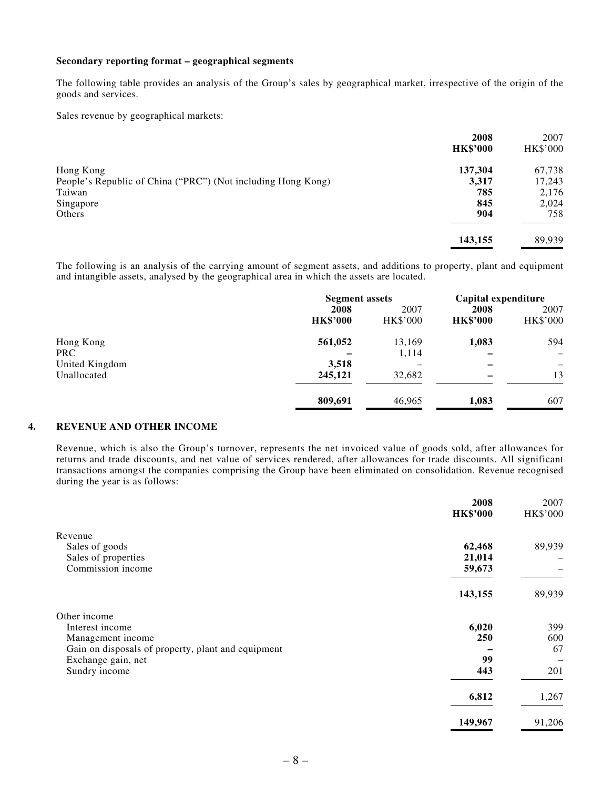#### **Secondary reporting format – geographical segments**

The following table provides an analysis of the Group's sales by geographical market, irrespective of the origin of the goods and services.

Sales revenue by geographical markets:

|                                                              | 2008            | 2007            |
|--------------------------------------------------------------|-----------------|-----------------|
|                                                              | <b>HK\$'000</b> | <b>HK\$'000</b> |
| Hong Kong                                                    | 137,304         | 67,738          |
| People's Republic of China ("PRC") (Not including Hong Kong) | 3,317           | 17,243          |
| Taiwan                                                       | 785             | 2,176           |
| Singapore                                                    | 845             | 2,024           |
| Others                                                       | 904             | 758             |
|                                                              | 143,155         | 89,939          |

The following is an analysis of the carrying amount of segment assets, and additions to property, plant and equipment and intangible assets, analysed by the geographical area in which the assets are located.

|                | <b>Segment assets</b> |                 | Capital expenditure |                          |  |
|----------------|-----------------------|-----------------|---------------------|--------------------------|--|
|                | 2008                  | 2007            |                     | 2007                     |  |
|                | <b>HK\$'000</b>       | <b>HK\$'000</b> | <b>HK\$'000</b>     | <b>HK\$'000</b>          |  |
| Hong Kong      | 561,052               | 13,169          | 1,083               | 594                      |  |
| <b>PRC</b>     |                       | 1,114           |                     | $\overline{\phantom{m}}$ |  |
| United Kingdom | 3,518                 |                 |                     | —                        |  |
| Unallocated    | 245,121               | 32,682          |                     | 13                       |  |
|                | 809,691               | 46,965          | 1,083               | 607                      |  |

#### **4. REVENUE AND OTHER INCOME**

Revenue, which is also the Group's turnover, represents the net invoiced value of goods sold, after allowances for returns and trade discounts, and net value of services rendered, after allowances for trade discounts. All significant transactions amongst the companies comprising the Group have been eliminated on consolidation. Revenue recognised during the year is as follows:

|                                                    | 2008<br><b>HK\$'000</b> | 2007<br>HK\$'000 |
|----------------------------------------------------|-------------------------|------------------|
| Revenue                                            |                         |                  |
| Sales of goods                                     | 62,468                  | 89,939           |
| Sales of properties                                | 21,014                  |                  |
| Commission income                                  | 59,673                  |                  |
|                                                    | 143,155                 | 89,939           |
| Other income                                       |                         |                  |
| Interest income                                    | 6,020                   | 399              |
| Management income                                  | 250                     | 600              |
| Gain on disposals of property, plant and equipment |                         | 67               |
| Exchange gain, net                                 | 99                      |                  |
| Sundry income                                      | 443                     | 201              |
|                                                    | 6,812                   | 1,267            |
|                                                    | 149,967                 | 91,206           |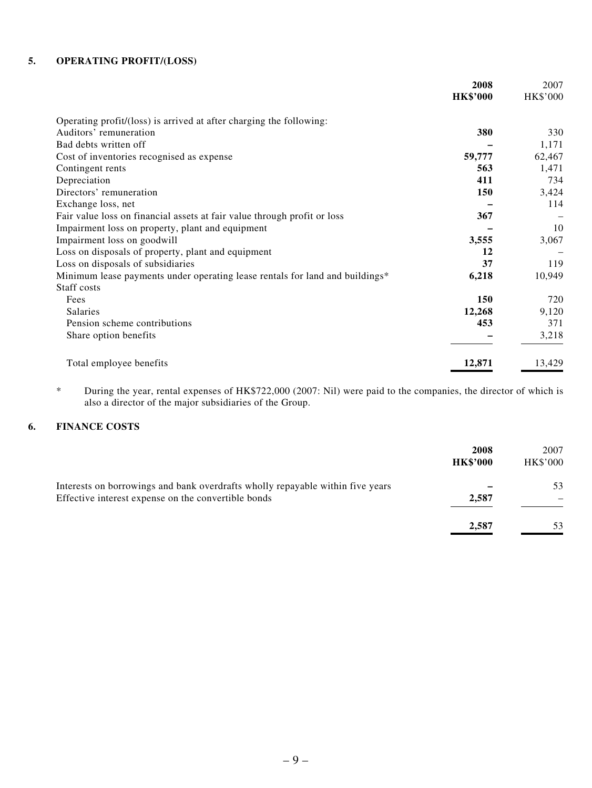#### **5. OPERATING PROFIT/(LOSS)**

|                                                                              | 2008            | 2007            |
|------------------------------------------------------------------------------|-----------------|-----------------|
|                                                                              | <b>HK\$'000</b> | <b>HK\$'000</b> |
| Operating profit/(loss) is arrived at after charging the following:          |                 |                 |
| Auditors' remuneration                                                       | 380             | 330             |
| Bad debts written off                                                        |                 | 1,171           |
| Cost of inventories recognised as expense                                    | 59,777          | 62,467          |
| Contingent rents                                                             | 563             | 1,471           |
| Depreciation                                                                 | 411             | 734             |
| Directors' remuneration                                                      | 150             | 3,424           |
| Exchange loss, net                                                           |                 | 114             |
| Fair value loss on financial assets at fair value through profit or loss     | 367             |                 |
| Impairment loss on property, plant and equipment                             |                 | 10              |
| Impairment loss on goodwill                                                  | 3,555           | 3,067           |
| Loss on disposals of property, plant and equipment                           | 12              |                 |
| Loss on disposals of subsidiaries                                            | 37              | 119             |
| Minimum lease payments under operating lease rentals for land and buildings* | 6,218           | 10,949          |
| Staff costs                                                                  |                 |                 |
| Fees                                                                         | 150             | 720             |
| <b>Salaries</b>                                                              | 12,268          | 9,120           |
| Pension scheme contributions                                                 | 453             | 371             |
| Share option benefits                                                        |                 | 3,218           |
| Total employee benefits                                                      | 12,871          | 13,429          |

\* During the year, rental expenses of HK\$722,000 (2007: Nil) were paid to the companies, the director of which is also a director of the major subsidiaries of the Group.

#### **6. FINANCE COSTS**

|                                                                                                                                       | 2008<br><b>HK\$'000</b> | 2007<br>HK\$'000 |
|---------------------------------------------------------------------------------------------------------------------------------------|-------------------------|------------------|
| Interests on borrowings and bank overdrafts wholly repayable within five years<br>Effective interest expense on the convertible bonds | 2,587                   | 53               |
|                                                                                                                                       | 2,587                   | 53               |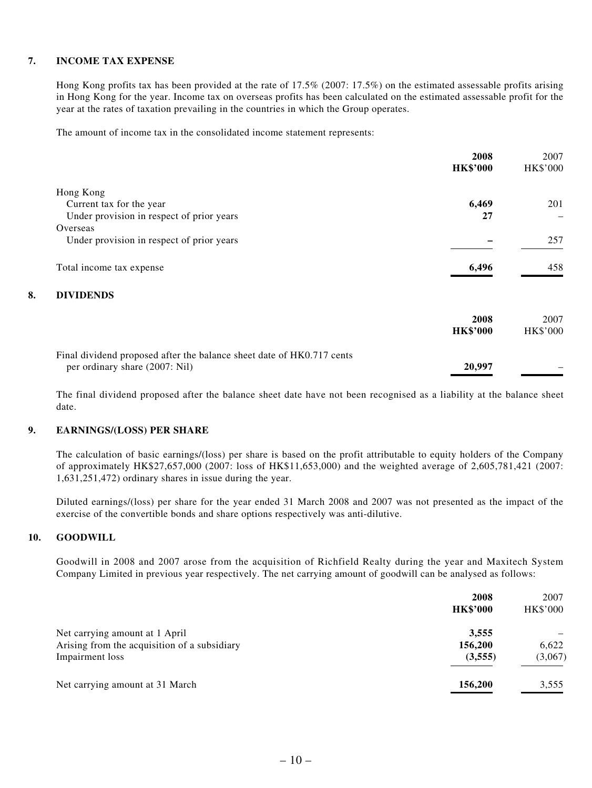#### **7. INCOME TAX EXPENSE**

Hong Kong profits tax has been provided at the rate of 17.5% (2007: 17.5%) on the estimated assessable profits arising in Hong Kong for the year. Income tax on overseas profits has been calculated on the estimated assessable profit for the year at the rates of taxation prevailing in the countries in which the Group operates.

The amount of income tax in the consolidated income statement represents:

|                                |                                                                       | 2008            | 2007            |
|--------------------------------|-----------------------------------------------------------------------|-----------------|-----------------|
|                                |                                                                       | <b>HK\$'000</b> | <b>HK\$'000</b> |
| Hong Kong                      |                                                                       |                 |                 |
| Current tax for the year       |                                                                       | 6,469           | 201             |
|                                | Under provision in respect of prior years                             | 27              |                 |
| Overseas                       |                                                                       |                 |                 |
|                                | Under provision in respect of prior years                             |                 | 257             |
| Total income tax expense       |                                                                       | 6,496           | 458             |
| 8.<br><b>DIVIDENDS</b>         |                                                                       |                 |                 |
|                                |                                                                       | 2008            | 2007            |
|                                |                                                                       | <b>HK\$'000</b> | <b>HK\$'000</b> |
|                                | Final dividend proposed after the balance sheet date of HK0.717 cents |                 |                 |
| per ordinary share (2007: Nil) |                                                                       | 20,997          |                 |

The final dividend proposed after the balance sheet date have not been recognised as a liability at the balance sheet date.

#### **9. EARNINGS/(LOSS) PER SHARE**

The calculation of basic earnings/(loss) per share is based on the profit attributable to equity holders of the Company of approximately HK\$27,657,000 (2007: loss of HK\$11,653,000) and the weighted average of 2,605,781,421 (2007: 1,631,251,472) ordinary shares in issue during the year.

Diluted earnings/(loss) per share for the year ended 31 March 2008 and 2007 was not presented as the impact of the exercise of the convertible bonds and share options respectively was anti-dilutive.

#### **10. GOODWILL**

Goodwill in 2008 and 2007 arose from the acquisition of Richfield Realty during the year and Maxitech System Company Limited in previous year respectively. The net carrying amount of goodwill can be analysed as follows:

|                                              | 2008            | 2007     |
|----------------------------------------------|-----------------|----------|
|                                              | <b>HK\$'000</b> | HK\$'000 |
| Net carrying amount at 1 April               | 3,555           |          |
| Arising from the acquisition of a subsidiary | 156,200         | 6,622    |
| Impairment loss                              | (3,555)         | (3,067)  |
| Net carrying amount at 31 March              | 156,200         | 3,555    |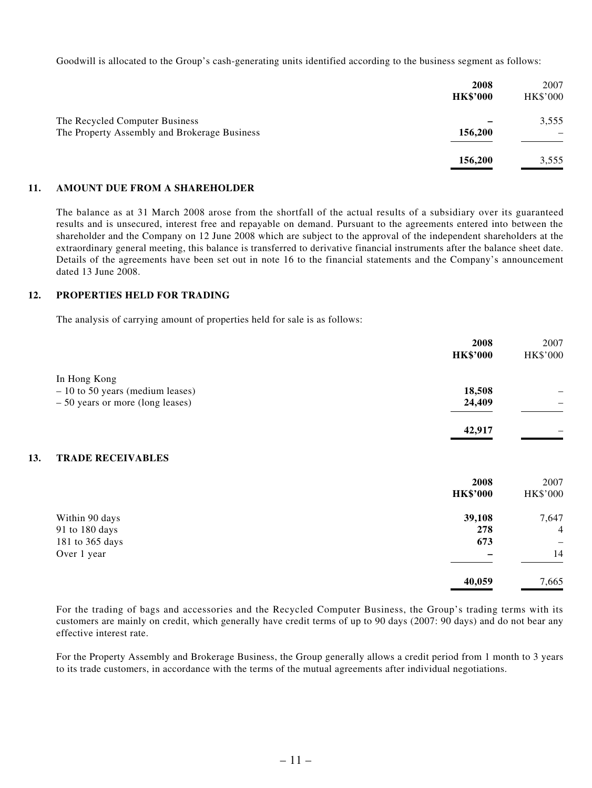Goodwill is allocated to the Group's cash-generating units identified according to the business segment as follows:

|                                                                                | 2008<br><b>HK\$'000</b> | 2007<br><b>HK\$'000</b> |
|--------------------------------------------------------------------------------|-------------------------|-------------------------|
| The Recycled Computer Business<br>The Property Assembly and Brokerage Business | 156,200                 | 3,555                   |
|                                                                                | 156,200                 | 3,555                   |

#### **11. AMOUNT DUE FROM A SHAREHOLDER**

The balance as at 31 March 2008 arose from the shortfall of the actual results of a subsidiary over its guaranteed results and is unsecured, interest free and repayable on demand. Pursuant to the agreements entered into between the shareholder and the Company on 12 June 2008 which are subject to the approval of the independent shareholders at the extraordinary general meeting, this balance is transferred to derivative financial instruments after the balance sheet date. Details of the agreements have been set out in note 16 to the financial statements and the Company's announcement dated 13 June 2008.

#### **12. PROPERTIES HELD FOR TRADING**

The analysis of carrying amount of properties held for sale is as follows:

|     |                                   | 2008            | 2007     |
|-----|-----------------------------------|-----------------|----------|
|     |                                   | <b>HK\$'000</b> | HK\$'000 |
|     | In Hong Kong                      |                 |          |
|     | $-10$ to 50 years (medium leases) | 18,508          |          |
|     | $-50$ years or more (long leases) | 24,409          |          |
|     |                                   | 42,917          |          |
|     |                                   |                 |          |
| 13. | <b>TRADE RECEIVABLES</b>          |                 |          |
|     |                                   | 2008            | 2007     |
|     |                                   | <b>HK\$'000</b> | HK\$'000 |
|     | Within 90 days                    | 39,108          | 7,647    |
|     | 91 to 180 days                    | 278             | 4        |
|     | 181 to 365 days                   | 673             |          |
|     | Over 1 year                       |                 | 14       |
|     |                                   | 40,059          | 7,665    |

For the trading of bags and accessories and the Recycled Computer Business, the Group's trading terms with its customers are mainly on credit, which generally have credit terms of up to 90 days (2007: 90 days) and do not bear any effective interest rate.

For the Property Assembly and Brokerage Business, the Group generally allows a credit period from 1 month to 3 years to its trade customers, in accordance with the terms of the mutual agreements after individual negotiations.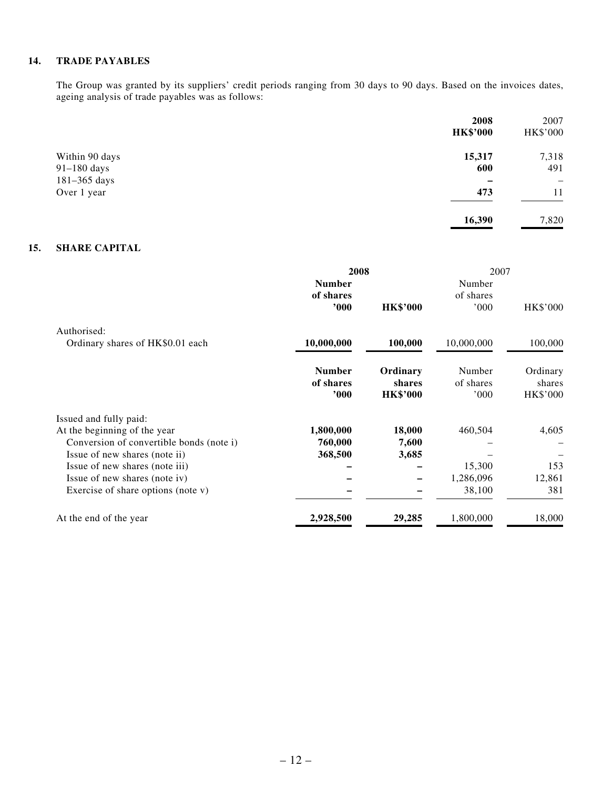#### **14. TRADE PAYABLES**

The Group was granted by its suppliers' credit periods ranging from 30 days to 90 days. Based on the invoices dates, ageing analysis of trade payables was as follows:

|                                 | 2008<br><b>HK\$'000</b> | 2007<br>HK\$'000 |
|---------------------------------|-------------------------|------------------|
| Within 90 days<br>$91-180$ days | 15,317<br>600           | 7,318<br>491     |
| 181-365 days<br>Over 1 year     | 473                     | -<br>11          |
|                                 | 16,390                  | 7,820            |

#### **15. SHARE CAPITAL**

|                                          | 2008          |                 | 2007       |                 |
|------------------------------------------|---------------|-----------------|------------|-----------------|
|                                          | <b>Number</b> |                 | Number     |                 |
|                                          | of shares     |                 | of shares  |                 |
|                                          | 000'          | <b>HK\$'000</b> | 000        | HK\$'000        |
| Authorised:                              |               |                 |            |                 |
| Ordinary shares of HK\$0.01 each         | 10,000,000    | 100,000         | 10,000,000 | 100,000         |
|                                          | <b>Number</b> | Ordinary        | Number     | Ordinary        |
|                                          | of shares     | shares          | of shares  | shares          |
|                                          | 000'          | <b>HK\$'000</b> | 000'       | <b>HK\$'000</b> |
| Issued and fully paid:                   |               |                 |            |                 |
| At the beginning of the year             | 1,800,000     | 18,000          | 460,504    | 4,605           |
| Conversion of convertible bonds (note i) | 760,000       | 7,600           |            |                 |
| Issue of new shares (note ii)            | 368,500       | 3,685           |            |                 |
| Issue of new shares (note iii)           |               |                 | 15,300     | 153             |
| Issue of new shares (note iv)            |               |                 | 1,286,096  | 12,861          |
| Exercise of share options (note v)       |               |                 | 38,100     | 381             |
| At the end of the year                   | 2,928,500     | 29,285          | 1,800,000  | 18,000          |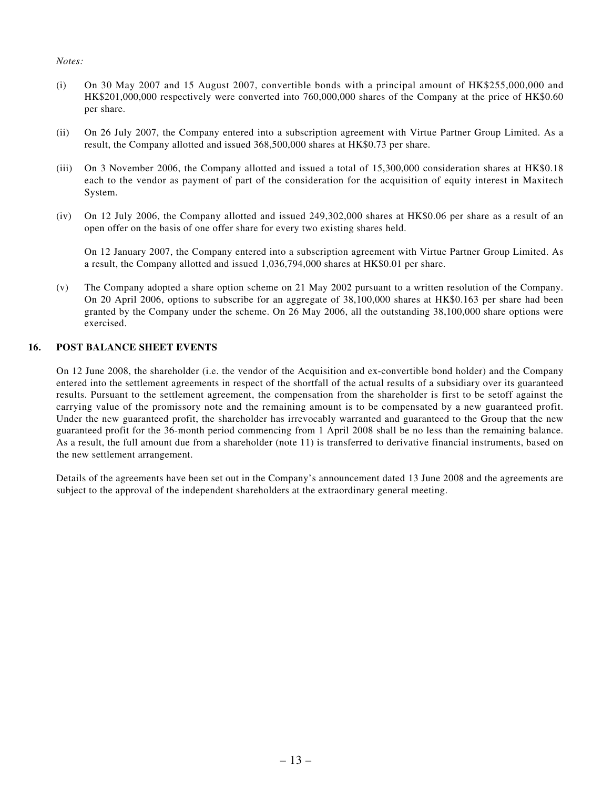#### *Notes:*

- (i) On 30 May 2007 and 15 August 2007, convertible bonds with a principal amount of HK\$255,000,000 and HK\$201,000,000 respectively were converted into 760,000,000 shares of the Company at the price of HK\$0.60 per share.
- (ii) On 26 July 2007, the Company entered into a subscription agreement with Virtue Partner Group Limited. As a result, the Company allotted and issued 368,500,000 shares at HK\$0.73 per share.
- (iii) On 3 November 2006, the Company allotted and issued a total of 15,300,000 consideration shares at HK\$0.18 each to the vendor as payment of part of the consideration for the acquisition of equity interest in Maxitech System.
- (iv) On 12 July 2006, the Company allotted and issued 249,302,000 shares at HK\$0.06 per share as a result of an open offer on the basis of one offer share for every two existing shares held.

On 12 January 2007, the Company entered into a subscription agreement with Virtue Partner Group Limited. As a result, the Company allotted and issued 1,036,794,000 shares at HK\$0.01 per share.

(v) The Company adopted a share option scheme on 21 May 2002 pursuant to a written resolution of the Company. On 20 April 2006, options to subscribe for an aggregate of 38,100,000 shares at HK\$0.163 per share had been granted by the Company under the scheme. On 26 May 2006, all the outstanding 38,100,000 share options were exercised.

#### **16. POST BALANCE SHEET EVENTS**

On 12 June 2008, the shareholder (i.e. the vendor of the Acquisition and ex-convertible bond holder) and the Company entered into the settlement agreements in respect of the shortfall of the actual results of a subsidiary over its guaranteed results. Pursuant to the settlement agreement, the compensation from the shareholder is first to be setoff against the carrying value of the promissory note and the remaining amount is to be compensated by a new guaranteed profit. Under the new guaranteed profit, the shareholder has irrevocably warranted and guaranteed to the Group that the new guaranteed profit for the 36-month period commencing from 1 April 2008 shall be no less than the remaining balance. As a result, the full amount due from a shareholder (note 11) is transferred to derivative financial instruments, based on the new settlement arrangement.

Details of the agreements have been set out in the Company's announcement dated 13 June 2008 and the agreements are subject to the approval of the independent shareholders at the extraordinary general meeting.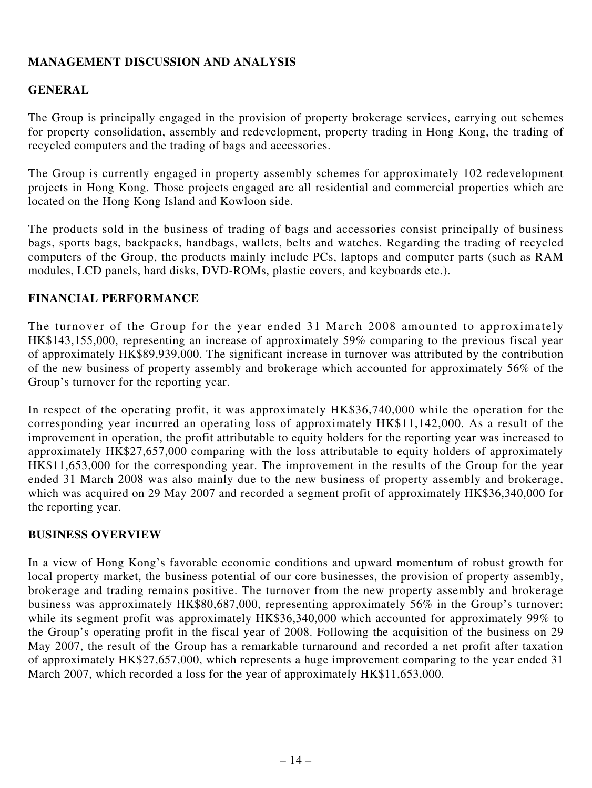# **Management Discussion and Analysis**

### **General**

The Group is principally engaged in the provision of property brokerage services, carrying out schemes for property consolidation, assembly and redevelopment, property trading in Hong Kong, the trading of recycled computers and the trading of bags and accessories.

The Group is currently engaged in property assembly schemes for approximately 102 redevelopment projects in Hong Kong. Those projects engaged are all residential and commercial properties which are located on the Hong Kong Island and Kowloon side.

The products sold in the business of trading of bags and accessories consist principally of business bags, sports bags, backpacks, handbags, wallets, belts and watches. Regarding the trading of recycled computers of the Group, the products mainly include PCs, laptops and computer parts (such as RAM modules, LCD panels, hard disks, DVD-ROMs, plastic covers, and keyboards etc.).

### **Financial Performance**

The turnover of the Group for the year ended 31 March 2008 amounted to approximately HK\$143,155,000, representing an increase of approximately 59% comparing to the previous fiscal year of approximately HK\$89,939,000. The significant increase in turnover was attributed by the contribution of the new business of property assembly and brokerage which accounted for approximately 56% of the Group's turnover for the reporting year.

In respect of the operating profit, it was approximately HK\$36,740,000 while the operation for the corresponding year incurred an operating loss of approximately HK\$11,142,000. As a result of the improvement in operation, the profit attributable to equity holders for the reporting year was increased to approximately HK\$27,657,000 comparing with the loss attributable to equity holders of approximately HK\$11,653,000 for the corresponding year. The improvement in the results of the Group for the year ended 31 March 2008 was also mainly due to the new business of property assembly and brokerage, which was acquired on 29 May 2007 and recorded a segment profit of approximately HK\$36,340,000 for the reporting year.

### **Business Overview**

In a view of Hong Kong's favorable economic conditions and upward momentum of robust growth for local property market, the business potential of our core businesses, the provision of property assembly, brokerage and trading remains positive. The turnover from the new property assembly and brokerage business was approximately HK\$80,687,000, representing approximately 56% in the Group's turnover; while its segment profit was approximately HK\$36,340,000 which accounted for approximately 99% to the Group's operating profit in the fiscal year of 2008. Following the acquisition of the business on 29 May 2007, the result of the Group has a remarkable turnaround and recorded a net profit after taxation of approximately HK\$27,657,000, which represents a huge improvement comparing to the year ended 31 March 2007, which recorded a loss for the year of approximately HK\$11,653,000.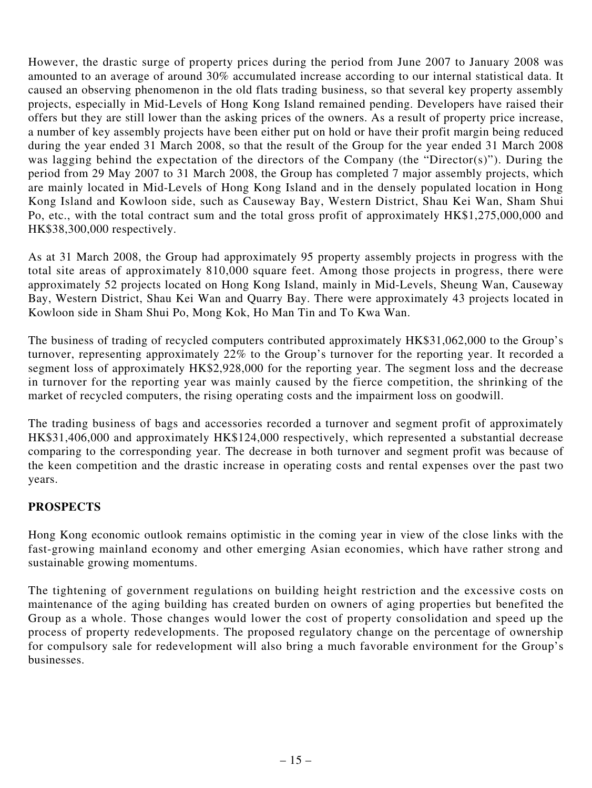However, the drastic surge of property prices during the period from June 2007 to January 2008 was amounted to an average of around 30% accumulated increase according to our internal statistical data. It caused an observing phenomenon in the old flats trading business, so that several key property assembly projects, especially in Mid-Levels of Hong Kong Island remained pending. Developers have raised their offers but they are still lower than the asking prices of the owners. As a result of property price increase, a number of key assembly projects have been either put on hold or have their profit margin being reduced during the year ended 31 March 2008, so that the result of the Group for the year ended 31 March 2008 was lagging behind the expectation of the directors of the Company (the "Director(s)"). During the period from 29 May 2007 to 31 March 2008, the Group has completed 7 major assembly projects, which are mainly located in Mid-Levels of Hong Kong Island and in the densely populated location in Hong Kong Island and Kowloon side, such as Causeway Bay, Western District, Shau Kei Wan, Sham Shui Po, etc., with the total contract sum and the total gross profit of approximately HK\$1,275,000,000 and HK\$38,300,000 respectively.

As at 31 March 2008, the Group had approximately 95 property assembly projects in progress with the total site areas of approximately 810,000 square feet. Among those projects in progress, there were approximately 52 projects located on Hong Kong Island, mainly in Mid-Levels, Sheung Wan, Causeway Bay, Western District, Shau Kei Wan and Quarry Bay. There were approximately 43 projects located in Kowloon side in Sham Shui Po, Mong Kok, Ho Man Tin and To Kwa Wan.

The business of trading of recycled computers contributed approximately HK\$31,062,000 to the Group's turnover, representing approximately 22% to the Group's turnover for the reporting year. It recorded a segment loss of approximately HK\$2,928,000 for the reporting year. The segment loss and the decrease in turnover for the reporting year was mainly caused by the fierce competition, the shrinking of the market of recycled computers, the rising operating costs and the impairment loss on goodwill.

The trading business of bags and accessories recorded a turnover and segment profit of approximately HK\$31,406,000 and approximately HK\$124,000 respectively, which represented a substantial decrease comparing to the corresponding year. The decrease in both turnover and segment profit was because of the keen competition and the drastic increase in operating costs and rental expenses over the past two years.

### **Prospects**

Hong Kong economic outlook remains optimistic in the coming year in view of the close links with the fast-growing mainland economy and other emerging Asian economies, which have rather strong and sustainable growing momentums.

The tightening of government regulations on building height restriction and the excessive costs on maintenance of the aging building has created burden on owners of aging properties but benefited the Group as a whole. Those changes would lower the cost of property consolidation and speed up the process of property redevelopments. The proposed regulatory change on the percentage of ownership for compulsory sale for redevelopment will also bring a much favorable environment for the Group's businesses.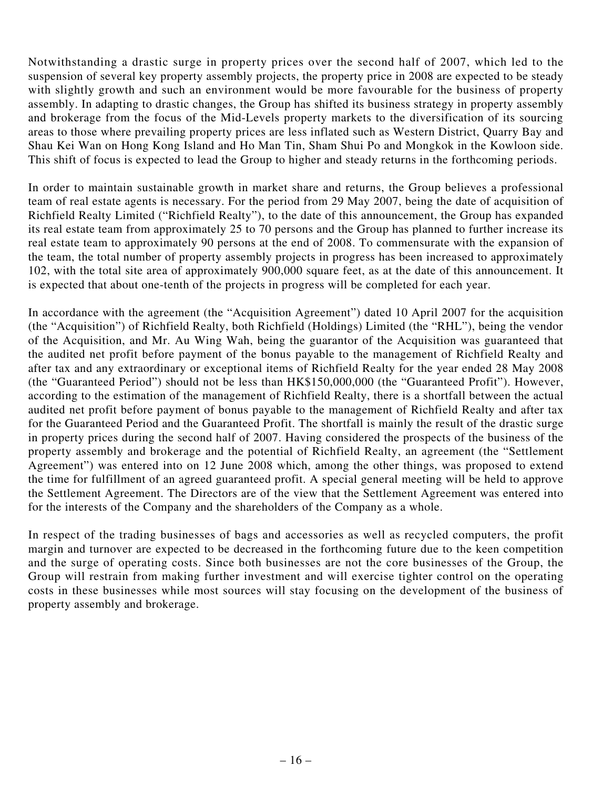Notwithstanding a drastic surge in property prices over the second half of 2007, which led to the suspension of several key property assembly projects, the property price in 2008 are expected to be steady with slightly growth and such an environment would be more favourable for the business of property assembly. In adapting to drastic changes, the Group has shifted its business strategy in property assembly and brokerage from the focus of the Mid-Levels property markets to the diversification of its sourcing areas to those where prevailing property prices are less inflated such as Western District, Quarry Bay and Shau Kei Wan on Hong Kong Island and Ho Man Tin, Sham Shui Po and Mongkok in the Kowloon side. This shift of focus is expected to lead the Group to higher and steady returns in the forthcoming periods.

In order to maintain sustainable growth in market share and returns, the Group believes a professional team of real estate agents is necessary. For the period from 29 May 2007, being the date of acquisition of Richfield Realty Limited ("Richfield Realty"), to the date of this announcement, the Group has expanded its real estate team from approximately 25 to 70 persons and the Group has planned to further increase its real estate team to approximately 90 persons at the end of 2008. To commensurate with the expansion of the team, the total number of property assembly projects in progress has been increased to approximately 102, with the total site area of approximately 900,000 square feet, as at the date of this announcement. It is expected that about one-tenth of the projects in progress will be completed for each year.

In accordance with the agreement (the "Acquisition Agreement") dated 10 April 2007 for the acquisition (the "Acquisition") of Richfield Realty, both Richfield (Holdings) Limited (the "RHL"), being the vendor of the Acquisition, and Mr. Au Wing Wah, being the guarantor of the Acquisition was guaranteed that the audited net profit before payment of the bonus payable to the management of Richfield Realty and after tax and any extraordinary or exceptional items of Richfield Realty for the year ended 28 May 2008 (the "Guaranteed Period") should not be less than HK\$150,000,000 (the "Guaranteed Profit"). However, according to the estimation of the management of Richfield Realty, there is a shortfall between the actual audited net profit before payment of bonus payable to the management of Richfield Realty and after tax for the Guaranteed Period and the Guaranteed Profit. The shortfall is mainly the result of the drastic surge in property prices during the second half of 2007. Having considered the prospects of the business of the property assembly and brokerage and the potential of Richfield Realty, an agreement (the "Settlement Agreement") was entered into on 12 June 2008 which, among the other things, was proposed to extend the time for fulfillment of an agreed guaranteed profit. A special general meeting will be held to approve the Settlement Agreement. The Directors are of the view that the Settlement Agreement was entered into for the interests of the Company and the shareholders of the Company as a whole.

In respect of the trading businesses of bags and accessories as well as recycled computers, the profit margin and turnover are expected to be decreased in the forthcoming future due to the keen competition and the surge of operating costs. Since both businesses are not the core businesses of the Group, the Group will restrain from making further investment and will exercise tighter control on the operating costs in these businesses while most sources will stay focusing on the development of the business of property assembly and brokerage.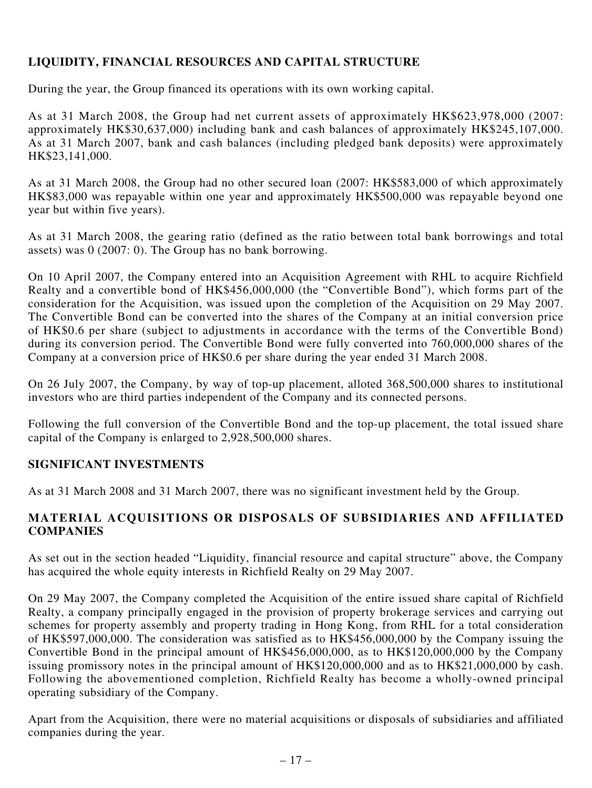# **Liquidity, financial resources and capital structure**

During the year, the Group financed its operations with its own working capital.

As at 31 March 2008, the Group had net current assets of approximately HK\$623,978,000 (2007: approximately HK\$30,637,000) including bank and cash balances of approximately HK\$245,107,000. As at 31 March 2007, bank and cash balances (including pledged bank deposits) were approximately HK\$23,141,000.

As at 31 March 2008, the Group had no other secured loan (2007: HK\$583,000 of which approximately HK\$83,000 was repayable within one year and approximately HK\$500,000 was repayable beyond one year but within five years).

As at 31 March 2008, the gearing ratio (defined as the ratio between total bank borrowings and total assets) was 0 (2007: 0). The Group has no bank borrowing.

On 10 April 2007, the Company entered into an Acquisition Agreement with RHL to acquire Richfield Realty and a convertible bond of HK\$456,000,000 (the "Convertible Bond"), which forms part of the consideration for the Acquisition, was issued upon the completion of the Acquisition on 29 May 2007. The Convertible Bond can be converted into the shares of the Company at an initial conversion price of HK\$0.6 per share (subject to adjustments in accordance with the terms of the Convertible Bond) during its conversion period. The Convertible Bond were fully converted into 760,000,000 shares of the Company at a conversion price of HK\$0.6 per share during the year ended 31 March 2008.

On 26 July 2007, the Company, by way of top-up placement, alloted 368,500,000 shares to institutional investors who are third parties independent of the Company and its connected persons.

Following the full conversion of the Convertible Bond and the top-up placement, the total issued share capital of the Company is enlarged to 2,928,500,000 shares.

# **Significant investments**

As at 31 March 2008 and 31 March 2007, there was no significant investment held by the Group.

# **Material acquisitions or disposals of subsidiaries and affiliated companies**

As set out in the section headed "Liquidity, financial resource and capital structure" above, the Company has acquired the whole equity interests in Richfield Realty on 29 May 2007.

On 29 May 2007, the Company completed the Acquisition of the entire issued share capital of Richfield Realty, a company principally engaged in the provision of property brokerage services and carrying out schemes for property assembly and property trading in Hong Kong, from RHL for a total consideration of HK\$597,000,000. The consideration was satisfied as to HK\$456,000,000 by the Company issuing the Convertible Bond in the principal amount of HK\$456,000,000, as to HK\$120,000,000 by the Company issuing promissory notes in the principal amount of HK\$120,000,000 and as to HK\$21,000,000 by cash. Following the abovementioned completion, Richfield Realty has become a wholly-owned principal operating subsidiary of the Company.

Apart from the Acquisition, there were no material acquisitions or disposals of subsidiaries and affiliated companies during the year.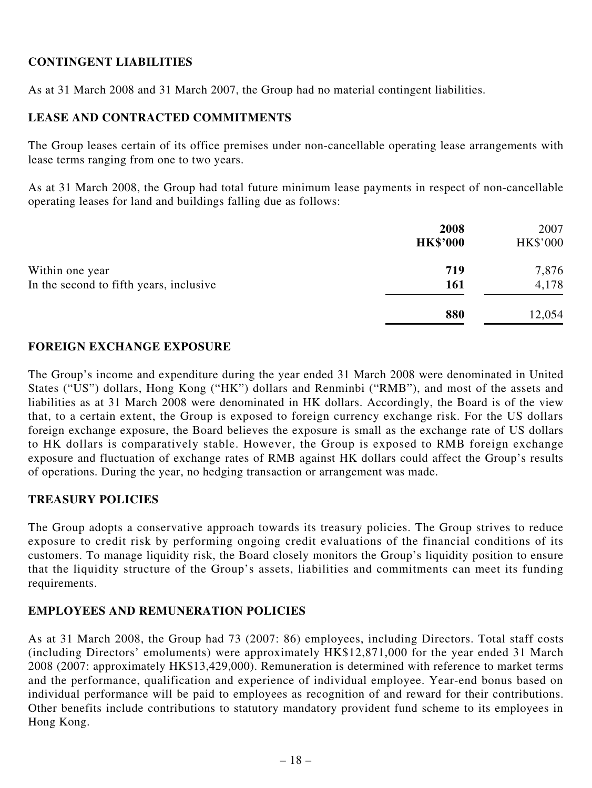# **Contingent liabilities**

As at 31 March 2008 and 31 March 2007, the Group had no material contingent liabilities.

### **Lease and contracted commitments**

The Group leases certain of its office premises under non-cancellable operating lease arrangements with lease terms ranging from one to two years.

As at 31 March 2008, the Group had total future minimum lease payments in respect of non-cancellable operating leases for land and buildings falling due as follows:

|                                         | 2008<br><b>HK\$'000</b> | 2007<br>HK\$'000 |
|-----------------------------------------|-------------------------|------------------|
| Within one year                         | 719                     | 7,876            |
| In the second to fifth years, inclusive | 161                     | 4,178            |
|                                         | 880                     | 12,054           |

### **Foreign exchange exposure**

The Group's income and expenditure during the year ended 31 March 2008 were denominated in United States ("US") dollars, Hong Kong ("HK") dollars and Renminbi ("RMB"), and most of the assets and liabilities as at 31 March 2008 were denominated in HK dollars. Accordingly, the Board is of the view that, to a certain extent, the Group is exposed to foreign currency exchange risk. For the US dollars foreign exchange exposure, the Board believes the exposure is small as the exchange rate of US dollars to HK dollars is comparatively stable. However, the Group is exposed to RMB foreign exchange exposure and fluctuation of exchange rates of RMB against HK dollars could affect the Group's results of operations. During the year, no hedging transaction or arrangement was made.

### **Treasury policies**

The Group adopts a conservative approach towards its treasury policies. The Group strives to reduce exposure to credit risk by performing ongoing credit evaluations of the financial conditions of its customers. To manage liquidity risk, the Board closely monitors the Group's liquidity position to ensure that the liquidity structure of the Group's assets, liabilities and commitments can meet its funding requirements.

### **Employees and remuneration policies**

As at 31 March 2008, the Group had 73 (2007: 86) employees, including Directors. Total staff costs (including Directors' emoluments) were approximately HK\$12,871,000 for the year ended 31 March 2008 (2007: approximately HK\$13,429,000). Remuneration is determined with reference to market terms and the performance, qualification and experience of individual employee. Year-end bonus based on individual performance will be paid to employees as recognition of and reward for their contributions. Other benefits include contributions to statutory mandatory provident fund scheme to its employees in Hong Kong.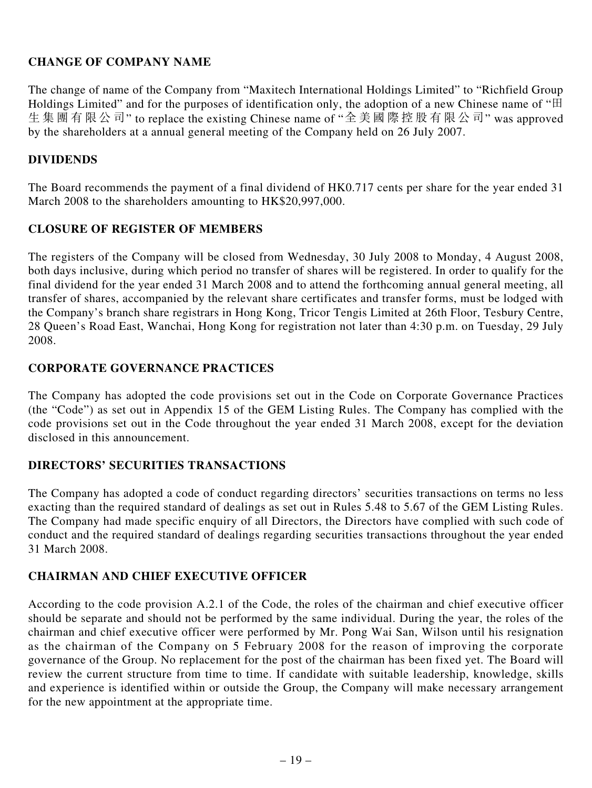# **CHANGE OF COMPANY NAME**

The change of name of the Company from "Maxitech International Holdings Limited" to "Richfield Group Holdings Limited" and for the purposes of identification only, the adoption of a new Chinese name of " $\boxplus$ 生 集 團 有 限 公 司" to replace the existing Chinese name of "全 美 國 際 控 股 有 限 公 司" was approved by the shareholders at a annual general meeting of the Company held on 26 July 2007.

### **DIVIDENDS**

The Board recommends the payment of a final dividend of HK0.717 cents per share for the year ended 31 March 2008 to the shareholders amounting to HK\$20,997,000.

### **CLOSURE OF REGISTER OF MEMBERS**

The registers of the Company will be closed from Wednesday, 30 July 2008 to Monday, 4 August 2008, both days inclusive, during which period no transfer of shares will be registered. In order to qualify for the final dividend for the year ended 31 March 2008 and to attend the forthcoming annual general meeting, all transfer of shares, accompanied by the relevant share certificates and transfer forms, must be lodged with the Company's branch share registrars in Hong Kong, Tricor Tengis Limited at 26th Floor, Tesbury Centre, 28 Queen's Road East, Wanchai, Hong Kong for registration not later than 4:30 p.m. on Tuesday, 29 July 2008.

### **Corporate Governance Practices**

The Company has adopted the code provisions set out in the Code on Corporate Governance Practices (the "Code") as set out in Appendix 15 of the GEM Listing Rules. The Company has complied with the code provisions set out in the Code throughout the year ended 31 March 2008, except for the deviation disclosed in this announcement.

### **Directors' Securities Transactions**

The Company has adopted a code of conduct regarding directors' securities transactions on terms no less exacting than the required standard of dealings as set out in Rules 5.48 to 5.67 of the GEM Listing Rules. The Company had made specific enquiry of all Directors, the Directors have complied with such code of conduct and the required standard of dealings regarding securities transactions throughout the year ended 31 March 2008.

# **Chairman and Chief Executive Officer**

According to the code provision A.2.1 of the Code, the roles of the chairman and chief executive officer should be separate and should not be performed by the same individual. During the year, the roles of the chairman and chief executive officer were performed by Mr. Pong Wai San, Wilson until his resignation as the chairman of the Company on 5 February 2008 for the reason of improving the corporate governance of the Group. No replacement for the post of the chairman has been fixed yet. The Board will review the current structure from time to time. If candidate with suitable leadership, knowledge, skills and experience is identified within or outside the Group, the Company will make necessary arrangement for the new appointment at the appropriate time.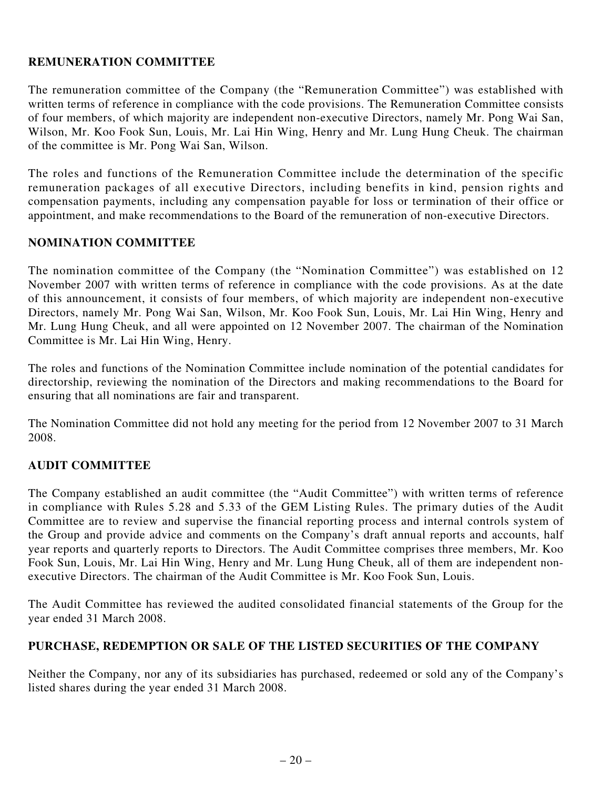# **Remuneration Committee**

The remuneration committee of the Company (the "Remuneration Committee") was established with written terms of reference in compliance with the code provisions. The Remuneration Committee consists of four members, of which majority are independent non-executive Directors, namely Mr. Pong Wai San, Wilson, Mr. Koo Fook Sun, Louis, Mr. Lai Hin Wing, Henry and Mr. Lung Hung Cheuk. The chairman of the committee is Mr. Pong Wai San, Wilson.

The roles and functions of the Remuneration Committee include the determination of the specific remuneration packages of all executive Directors, including benefits in kind, pension rights and compensation payments, including any compensation payable for loss or termination of their office or appointment, and make recommendations to the Board of the remuneration of non-executive Directors.

## **Nomination committee**

The nomination committee of the Company (the "Nomination Committee") was established on 12 November 2007 with written terms of reference in compliance with the code provisions. As at the date of this announcement, it consists of four members, of which majority are independent non-executive Directors, namely Mr. Pong Wai San, Wilson, Mr. Koo Fook Sun, Louis, Mr. Lai Hin Wing, Henry and Mr. Lung Hung Cheuk, and all were appointed on 12 November 2007. The chairman of the Nomination Committee is Mr. Lai Hin Wing, Henry.

The roles and functions of the Nomination Committee include nomination of the potential candidates for directorship, reviewing the nomination of the Directors and making recommendations to the Board for ensuring that all nominations are fair and transparent.

The Nomination Committee did not hold any meeting for the period from 12 November 2007 to 31 March 2008.

# **AUDIT COMMITTEE**

The Company established an audit committee (the "Audit Committee") with written terms of reference in compliance with Rules 5.28 and 5.33 of the GEM Listing Rules. The primary duties of the Audit Committee are to review and supervise the financial reporting process and internal controls system of the Group and provide advice and comments on the Company's draft annual reports and accounts, half year reports and quarterly reports to Directors. The Audit Committee comprises three members, Mr. Koo Fook Sun, Louis, Mr. Lai Hin Wing, Henry and Mr. Lung Hung Cheuk, all of them are independent nonexecutive Directors. The chairman of the Audit Committee is Mr. Koo Fook Sun, Louis.

The Audit Committee has reviewed the audited consolidated financial statements of the Group for the year ended 31 March 2008.

### **Purchase, Redemption or Sale of the Listed Securities of the Company**

Neither the Company, nor any of its subsidiaries has purchased, redeemed or sold any of the Company's listed shares during the year ended 31 March 2008.